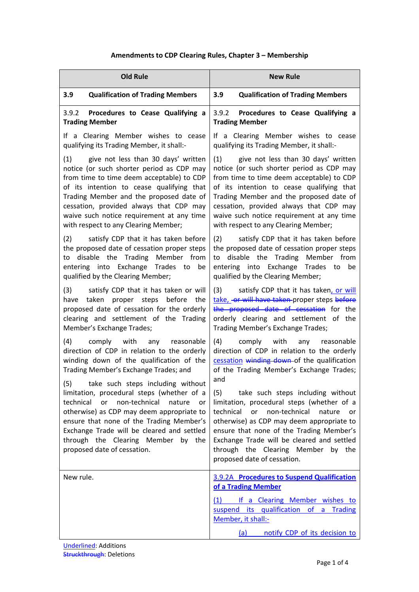# **Amendments to CDP Clearing Rules, Chapter 3 – Membership**

| <b>Old Rule</b>                                                                                                                                                                                                                                                                                                                                              | <b>New Rule</b>                                                                                                                                                                                                                                                                                                                                               |  |
|--------------------------------------------------------------------------------------------------------------------------------------------------------------------------------------------------------------------------------------------------------------------------------------------------------------------------------------------------------------|---------------------------------------------------------------------------------------------------------------------------------------------------------------------------------------------------------------------------------------------------------------------------------------------------------------------------------------------------------------|--|
| 3.9<br><b>Qualification of Trading Members</b>                                                                                                                                                                                                                                                                                                               | 3.9<br><b>Qualification of Trading Members</b>                                                                                                                                                                                                                                                                                                                |  |
| 3.9.2<br>Procedures to Cease Qualifying a<br><b>Trading Member</b>                                                                                                                                                                                                                                                                                           | 3.9.2<br>Procedures to Cease Qualifying a<br><b>Trading Member</b>                                                                                                                                                                                                                                                                                            |  |
| If a Clearing Member wishes to cease<br>qualifying its Trading Member, it shall:-                                                                                                                                                                                                                                                                            | If a Clearing Member wishes to cease<br>qualifying its Trading Member, it shall:-                                                                                                                                                                                                                                                                             |  |
| give not less than 30 days' written<br>(1)<br>notice (or such shorter period as CDP may<br>from time to time deem acceptable) to CDP<br>of its intention to cease qualifying that<br>Trading Member and the proposed date of<br>cessation, provided always that CDP may<br>waive such notice requirement at any time<br>with respect to any Clearing Member; | (1)<br>give not less than 30 days' written<br>notice (or such shorter period as CDP may<br>from time to time deem acceptable) to CDP<br>of its intention to cease qualifying that<br>Trading Member and the proposed date of<br>cessation, provided always that CDP may<br>waive such notice requirement at any time<br>with respect to any Clearing Member;  |  |
| (2)<br>satisfy CDP that it has taken before<br>the proposed date of cessation proper steps<br>disable the Trading Member from<br>to<br>entering into Exchange<br>Trades to<br>be<br>qualified by the Clearing Member;                                                                                                                                        | (2)<br>satisfy CDP that it has taken before<br>the proposed date of cessation proper steps<br>disable the Trading Member from<br>to<br>entering into Exchange<br>Trades to<br>be<br>qualified by the Clearing Member;                                                                                                                                         |  |
| (3)<br>satisfy CDP that it has taken or will<br>taken proper steps before the<br>have<br>proposed date of cessation for the orderly<br>clearing and settlement of the Trading<br>Member's Exchange Trades;                                                                                                                                                   | (3)<br>satisfy CDP that it has taken, or will<br>take, or will have taken proper steps before<br>the proposed date of cessation for the<br>orderly clearing and settlement of the<br>Trading Member's Exchange Trades;                                                                                                                                        |  |
| (4)<br>comply with<br>any<br>reasonable<br>direction of CDP in relation to the orderly<br>winding down of the qualification of the<br>Trading Member's Exchange Trades; and                                                                                                                                                                                  | (4)<br>comply<br>with<br>reasonable<br>any<br>direction of CDP in relation to the orderly<br>cessation winding down of the qualification<br>of the Trading Member's Exchange Trades;                                                                                                                                                                          |  |
| (5) take such steps including without<br>limitation, procedural steps (whether of a<br>non-technical<br>technical<br>or<br>nature<br>or<br>otherwise) as CDP may deem appropriate to<br>ensure that none of the Trading Member's<br>Exchange Trade will be cleared and settled<br>through the Clearing Member by the<br>proposed date of cessation.          | and<br>take such steps including without<br>(5)<br>limitation, procedural steps (whether of a<br>technical<br>non-technical<br>or<br>nature<br>or<br>otherwise) as CDP may deem appropriate to<br>ensure that none of the Trading Member's<br>Exchange Trade will be cleared and settled<br>through the Clearing Member by the<br>proposed date of cessation. |  |
| New rule.                                                                                                                                                                                                                                                                                                                                                    | 3.9.2A Procedures to Suspend Qualification                                                                                                                                                                                                                                                                                                                    |  |
|                                                                                                                                                                                                                                                                                                                                                              | of a Trading Member<br>(1) If a Clearing Member wishes to<br>suspend its qualification of a Trading<br>Member, it shall:-                                                                                                                                                                                                                                     |  |
|                                                                                                                                                                                                                                                                                                                                                              | notify CDP of its decision to<br><u>(a)</u>                                                                                                                                                                                                                                                                                                                   |  |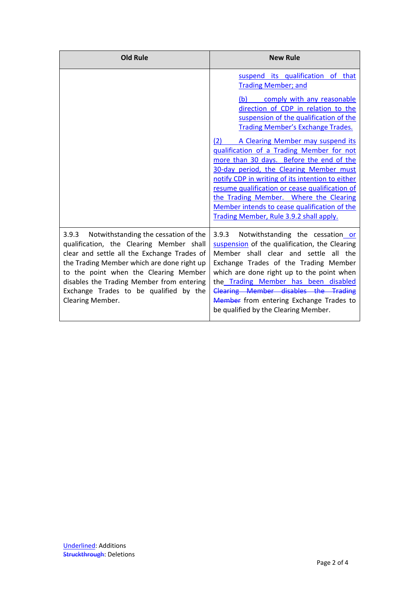| <b>Old Rule</b>                                                                                                                                                                                                                                                                                                                            | <b>New Rule</b>                                                                                                                                                                                                                                                                                                                                                                                                                                                                                                                                                                                                                                       |
|--------------------------------------------------------------------------------------------------------------------------------------------------------------------------------------------------------------------------------------------------------------------------------------------------------------------------------------------|-------------------------------------------------------------------------------------------------------------------------------------------------------------------------------------------------------------------------------------------------------------------------------------------------------------------------------------------------------------------------------------------------------------------------------------------------------------------------------------------------------------------------------------------------------------------------------------------------------------------------------------------------------|
|                                                                                                                                                                                                                                                                                                                                            | suspend its qualification of that<br><b>Trading Member; and</b><br>comply with any reasonable<br>(b)<br>direction of CDP in relation to the<br>suspension of the qualification of the<br>Trading Member's Exchange Trades.<br>A Clearing Member may suspend its<br>(2)<br>qualification of a Trading Member for not<br>more than 30 days. Before the end of the<br>30-day period, the Clearing Member must<br>notify CDP in writing of its intention to either<br>resume qualification or cease qualification of<br>the Trading Member. Where the Clearing<br>Member intends to cease qualification of the<br>Trading Member, Rule 3.9.2 shall apply. |
| 3.9.3<br>Notwithstanding the cessation of the<br>qualification, the Clearing Member shall<br>clear and settle all the Exchange Trades of<br>the Trading Member which are done right up<br>to the point when the Clearing Member<br>disables the Trading Member from entering<br>Exchange Trades to be qualified by the<br>Clearing Member. | 3.9.3<br>Notwithstanding the cessation or<br>suspension of the qualification, the Clearing<br>Member shall clear and settle all the<br>Exchange Trades of the Trading Member<br>which are done right up to the point when<br>the Trading Member has been disabled<br>Clearing Member disables the Trading<br>Member from entering Exchange Trades to<br>be qualified by the Clearing Member.                                                                                                                                                                                                                                                          |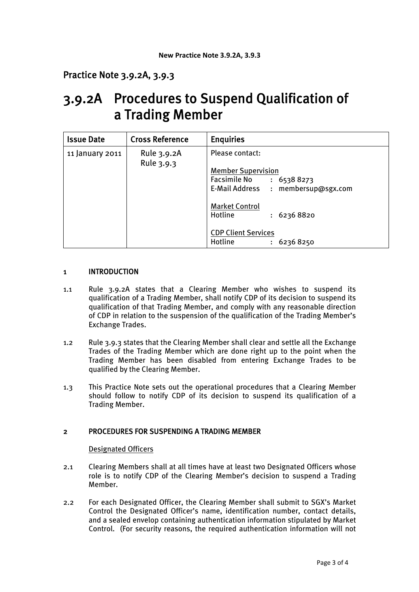# Practice Note 3.9.2A, 3.9.3

# 3.9.2A Procedures to Suspend Qualification of a Trading Member

| <b>Issue Date</b> | <b>Cross Reference</b>    | <b>Enquiries</b>                   |
|-------------------|---------------------------|------------------------------------|
| 11 January 2011   | Rule 3.9.2A<br>Rule 3.9.3 | Please contact:                    |
|                   |                           | <b>Member Supervision</b>          |
|                   |                           | <b>Facsimile No</b><br>: 65388273  |
|                   |                           | E-Mail Address : membersup@sgx.com |
|                   |                           | <b>Market Control</b>              |
|                   |                           | Hotline<br>: 62368820              |
|                   |                           | <b>CDP Client Services</b>         |
|                   |                           | Hotline<br>: 62368250              |

## 1 INTRODUCTION

- 1.1 Rule 3.9.2A states that a Clearing Member who wishes to suspend its qualification of a Trading Member, shall notify CDP of its decision to suspend its qualification of that Trading Member, and comply with any reasonable direction of CDP in relation to the suspension of the qualification of the Trading Member's Exchange Trades.
- 1.2 Rule 3.9.3 states that the Clearing Member shall clear and settle all the Exchange Trades of the Trading Member which are done right up to the point when the Trading Member has been disabled from entering Exchange Trades to be qualified by the Clearing Member.
- 1.3 This Practice Note sets out the operational procedures that a Clearing Member should follow to notify CDP of its decision to suspend its qualification of a Trading Member.

## 2 PROCEDURES FOR SUSPENDING A TRADING MEMBER

#### Designated Officers

- 2.1 Clearing Members shall at all times have at least two Designated Officers whose role is to notify CDP of the Clearing Member's decision to suspend a Trading Member.
- 2.2 For each Designated Officer, the Clearing Member shall submit to SGX's Market Control the Designated Officer's name, identification number, contact details, and a sealed envelop containing authentication information stipulated by Market Control. (For security reasons, the required authentication information will not